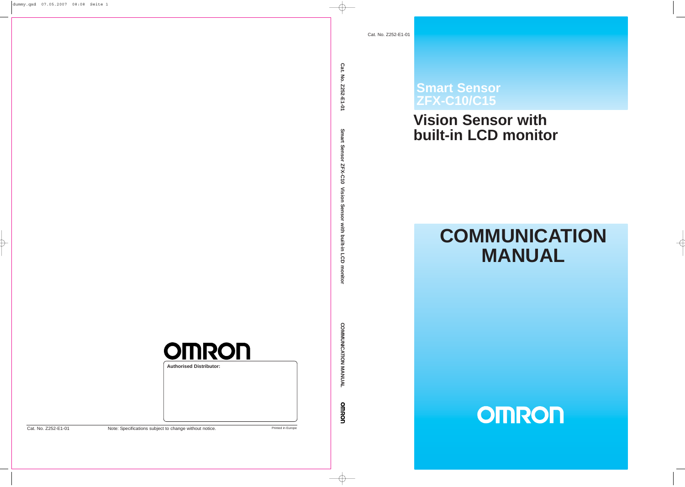# **Smart Sensor ZFX-C10/C15**

# **built-in LCD monitor**

# **COMMUNICATION**<br> **COMMUNICATION**<br> **COMMUNICATION**<br> **COMMUNICATION**

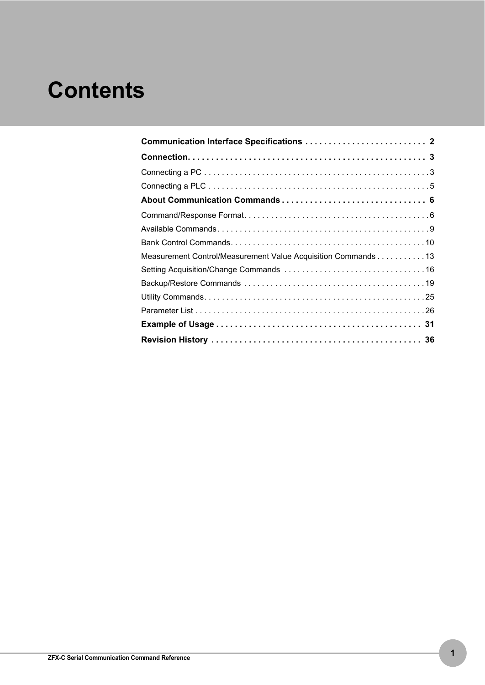# **Contents**

| Measurement Control/Measurement Value Acquisition Commands 13 |
|---------------------------------------------------------------|
|                                                               |
|                                                               |
|                                                               |
|                                                               |
|                                                               |
|                                                               |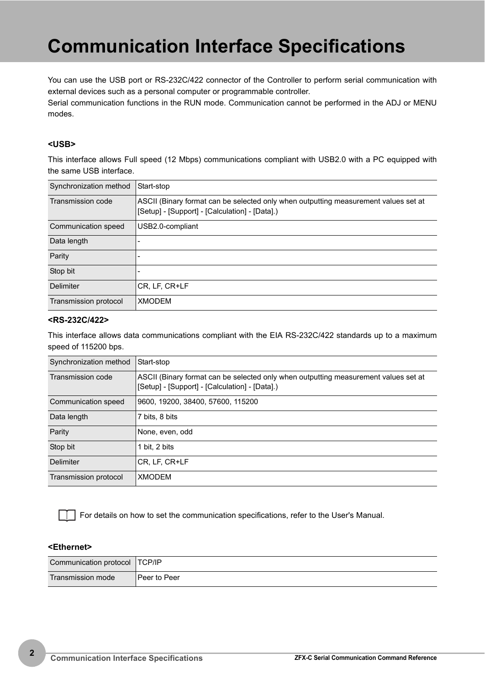# <span id="page-2-0"></span>**Communication Interface Specifications**

You can use the USB port or RS-232C/422 connector of the Controller to perform serial communication with external devices such as a personal computer or programmable controller.

Serial communication functions in the RUN mode. Communication cannot be performed in the ADJ or MENU modes.

### **<USB>**

This interface allows Full speed (12 Mbps) communications compliant with USB2.0 with a PC equipped with the same USB interface.

| Synchronization method | Start-stop                                                                                                                            |
|------------------------|---------------------------------------------------------------------------------------------------------------------------------------|
| Transmission code      | ASCII (Binary format can be selected only when outputting measurement values set at<br>[Setup] - [Support] - [Calculation] - [Data].) |
| Communication speed    | USB2.0-compliant                                                                                                                      |
| Data length            |                                                                                                                                       |
| Parity                 |                                                                                                                                       |
| Stop bit               |                                                                                                                                       |
| Delimiter              | CR, LF, CR+LF                                                                                                                         |
| Transmission protocol  | <b>XMODEM</b>                                                                                                                         |

### **<RS-232C/422>**

This interface allows data communications compliant with the EIA RS-232C/422 standards up to a maximum speed of 115200 bps.

| Synchronization method | Start-stop                                                                                                                            |
|------------------------|---------------------------------------------------------------------------------------------------------------------------------------|
| Transmission code      | ASCII (Binary format can be selected only when outputting measurement values set at<br>[Setup] - [Support] - [Calculation] - [Data].) |
| Communication speed    | 9600, 19200, 38400, 57600, 115200                                                                                                     |
| Data length            | 7 bits, 8 bits                                                                                                                        |
| Parity                 | None, even, odd                                                                                                                       |
| Stop bit               | 1 bit. 2 bits                                                                                                                         |
| Delimiter              | CR, LF, CR+LF                                                                                                                         |
| Transmission protocol  | <b>XMODEM</b>                                                                                                                         |

For details on how to set the communication specifications, refer to the User's Manual.

### **<Ethernet>**

| Communication protocol   TCP/IP |              |
|---------------------------------|--------------|
| Transmission mode               | Peer to Peer |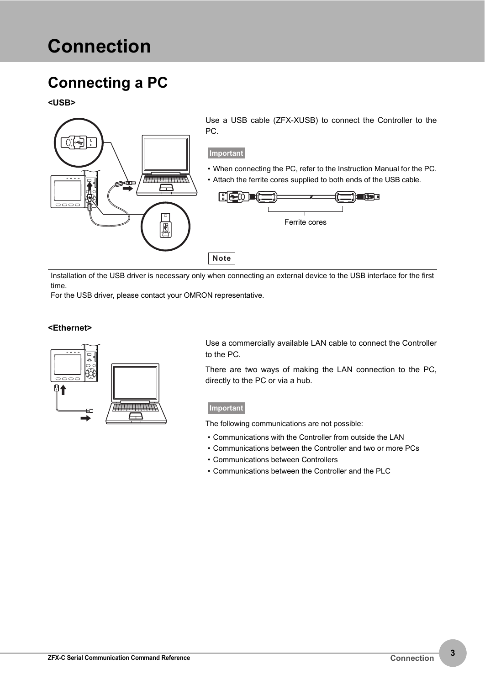# <span id="page-3-0"></span>**Connection**

# <span id="page-3-1"></span>**Connecting a PC**

**<USB>**



Installation of the USB driver is necessary only when connecting an external device to the USB interface for the first time.

For the USB driver, please contact your OMRON representative.

### **<Ethernet>**



Use a commercially available LAN cable to connect the Controller to the PC.

There are two ways of making the LAN connection to the PC, directly to the PC or via a hub.

### **Important**

The following communications are not possible:

- Communications with the Controller from outside the LAN
- Communications between the Controller and two or more PCs
- Communications between Controllers
- Communications between the Controller and the PLC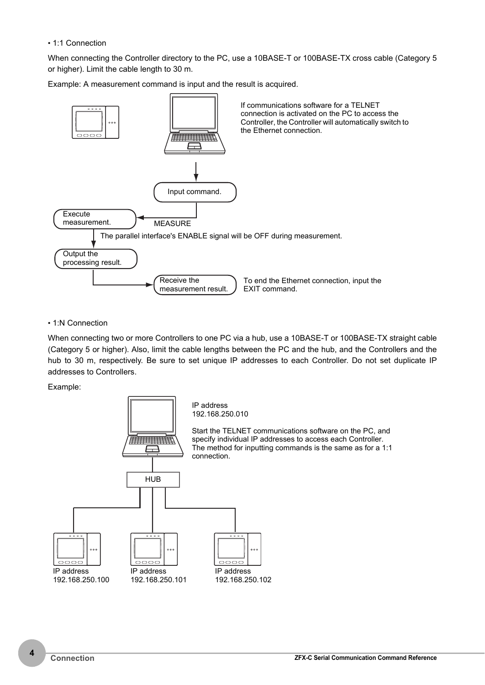### • 1:1 Connection

When connecting the Controller directory to the PC, use a 10BASE-T or 100BASE-TX cross cable (Category 5 or higher). Limit the cable length to 30 m.

Example: A measurement command is input and the result is acquired.



### • 1:N Connection

When connecting two or more Controllers to one PC via a hub, use a 10BASE-T or 100BASE-TX straight cable (Category 5 or higher). Also, limit the cable lengths between the PC and the hub, and the Controllers and the hub to 30 m, respectively. Be sure to set unique IP addresses to each Controller. Do not set duplicate IP addresses to Controllers.

Example:

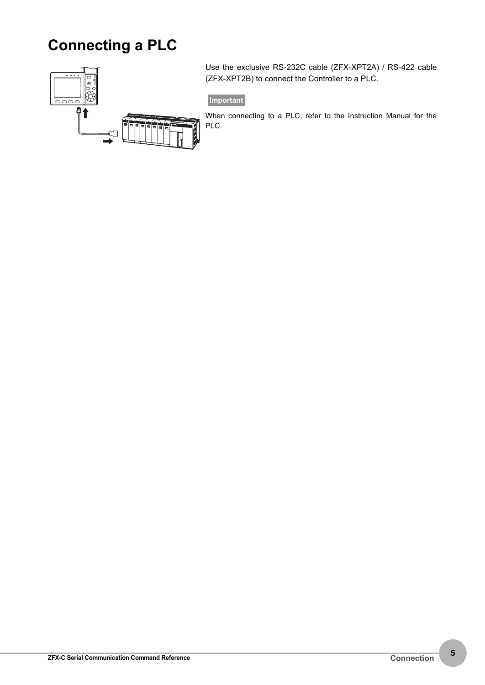# <span id="page-5-0"></span>**Connecting a PLC**



Use the exclusive RS-232C cable (ZFX-XPT2A) / RS-422 cable (ZFX-XPT2B) to connect the Controller to a PLC.

**Important**

When connecting to a PLC, refer to the Instruction Manual for the PLC.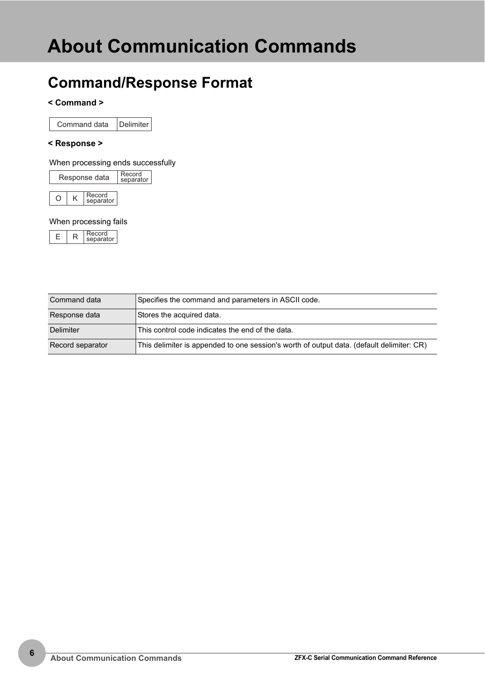# <span id="page-6-1"></span><span id="page-6-0"></span>**Command/Response Format**

### **< Command >**

Command data Delimiter

### **< Response >**

### When processing ends successfully

| Response data | Record<br>separator |
|---------------|---------------------|
|               |                     |



### When processing fails

|  | ٠ |
|--|---|
|--|---|

| Command data     | Specifies the command and parameters in ASCII code.                                       |  |  |  |  |  |
|------------------|-------------------------------------------------------------------------------------------|--|--|--|--|--|
| Response data    | Stores the acquired data.                                                                 |  |  |  |  |  |
| Delimiter        | This control code indicates the end of the data.                                          |  |  |  |  |  |
| Record separator | This delimiter is appended to one session's worth of output data. (default delimiter: CR) |  |  |  |  |  |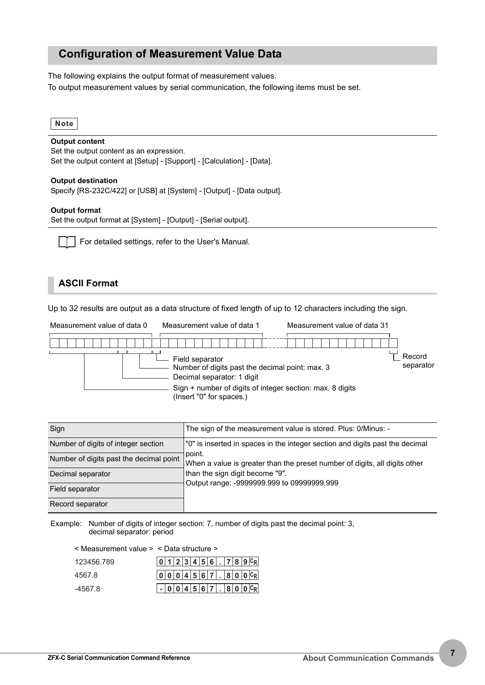### <span id="page-7-0"></span>**Configuration of Measurement Value Data**

The following explains the output format of measurement values. To output measurement values by serial communication, the following items must be set.



### **Output content**

Set the output content as an expression. Set the output content at [Setup] - [Support] - [Calculation] - [Data].

### **Output destination**

Specify [RS-232C/422] or [USB] at [System] - [Output] - [Data output].

### **Output format**

Set the output format at [System] - [Output] - [Serial output].

For detailed settings, refer to the User's Manual.

### **ASCII Format**

Up to 32 results are output as a data structure of fixed length of up to 12 characters including the sign.

| Measurement value of data 0 | Measurement value of data 1                                                                                                                                                               | Measurement value of data 31 |                     |
|-----------------------------|-------------------------------------------------------------------------------------------------------------------------------------------------------------------------------------------|------------------------------|---------------------|
|                             |                                                                                                                                                                                           |                              |                     |
|                             | Field separator<br>Number of digits past the decimal point: max. 3<br>Decimal separator: 1 digit<br>Sign + number of digits of integer section: max. 8 digits<br>(Insert "0" for spaces.) |                              | Record<br>separator |

| Sign                                    | The sign of the measurement value is stored. Plus: 0/Minus: -                        |
|-----------------------------------------|--------------------------------------------------------------------------------------|
| Number of digits of integer section     | "0" is inserted in spaces in the integer section and digits past the decimal         |
| Number of digits past the decimal point | point.<br>When a value is greater than the preset number of digits, all digits other |
| Decimal separator                       | than the sign digit become "9".                                                      |
| Field separator                         | Output range: -9999999.999 to 09999999.999                                           |
| Record separator                        |                                                                                      |

Example: Number of digits of integer section: 7, number of digits past the decimal point: 3, decimal separator: period

 $\sqrt{0.123456}$   $\sqrt{789C_R}$ 123456.789 < Measurement value > < Data structure >

| 4567.8  |  |  |  |  |  | 00004567.800C  |
|---------|--|--|--|--|--|----------------|
| -4567.8 |  |  |  |  |  | $-004567.800C$ |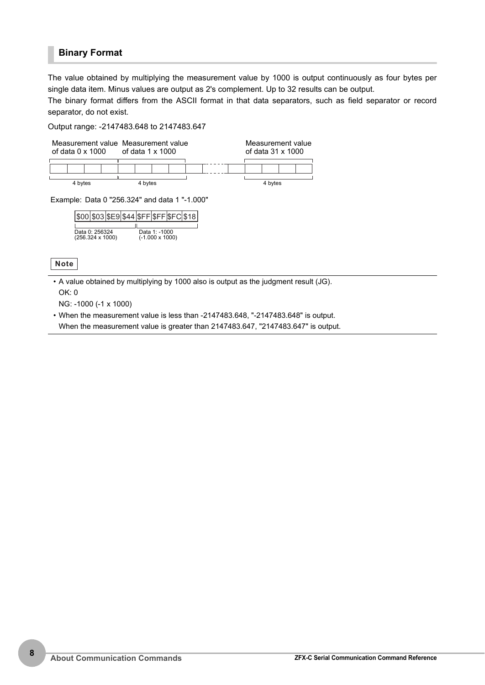### **Binary Format**

The value obtained by multiplying the measurement value by 1000 is output continuously as four bytes per single data item. Minus values are output as 2's complement. Up to 32 results can be output.

The binary format differs from the ASCII format in that data separators, such as field separator or record separator, do not exist.

### Output range: -2147483.648 to 2147483.647



| \$00 \$03 \$E9 \$44 \$FF \$FF \$FC \$18] |  |  |                        |  |
|------------------------------------------|--|--|------------------------|--|
|                                          |  |  |                        |  |
| Data 0: 256324                           |  |  | Data 1: -1000          |  |
| $(256.324 \times 1000)$                  |  |  | $(-1.000 \times 1000)$ |  |

**Note**

• A value obtained by multiplying by 1000 also is output as the judgment result (JG).

OK: 0

NG: -1000 (-1 x 1000)

• When the measurement value is less than -2147483.648, "-2147483.648" is output.

When the measurement value is greater than 2147483.647, "2147483.647" is output.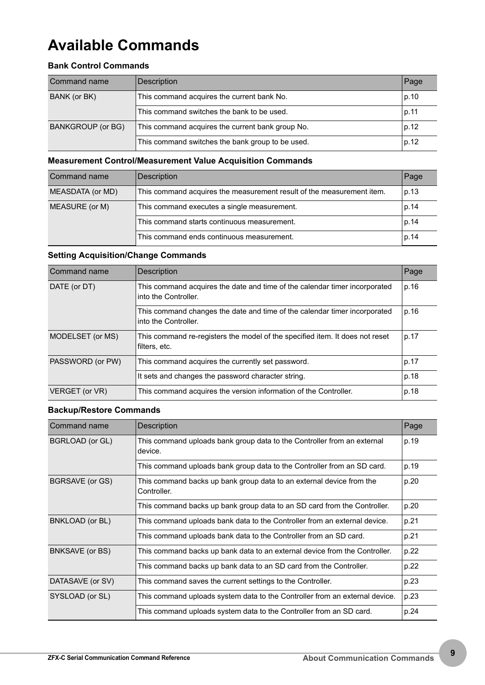# <span id="page-9-0"></span>**Available Commands**

### **Bank Control Commands**

| Command name      | Description                                      | Page |
|-------------------|--------------------------------------------------|------|
| BANK (or BK)      | This command acquires the current bank No.       | p.10 |
|                   | This command switches the bank to be used.       | p.11 |
| BANKGROUP (or BG) | This command acquires the current bank group No. | p.12 |
|                   | This command switches the bank group to be used. | p.12 |

### **Measurement Control/Measurement Value Acquisition Commands**

| Command name     | Description                                                           | Page |
|------------------|-----------------------------------------------------------------------|------|
| MEASDATA (or MD) | This command acquires the measurement result of the measurement item. | p.13 |
| MEASURE (or M)   | This command executes a single measurement.                           | p.14 |
|                  | This command starts continuous measurement.                           | p.14 |
|                  | This command ends continuous measurement.                             | p.14 |

### **Setting Acquisition/Change Commands**

| Command name     | Description                                                                                                | Page |
|------------------|------------------------------------------------------------------------------------------------------------|------|
| DATE (or DT)     | This command acquires the date and time of the calendar timer incorporated<br>p.16<br>into the Controller. |      |
|                  | This command changes the date and time of the calendar timer incorporated<br>into the Controller.          | p.16 |
| MODELSET (or MS) | This command re-registers the model of the specified item. It does not reset<br>filters, etc.              | p.17 |
| PASSWORD (or PW) | This command acquires the currently set password.                                                          | p.17 |
|                  | It sets and changes the password character string.                                                         | p.18 |
| VERGET (or VR)   | This command acquires the version information of the Controller.                                           | p.18 |

### **Backup/Restore Commands**

| Command name           | <b>Description</b>                                                                          | Page |
|------------------------|---------------------------------------------------------------------------------------------|------|
| <b>BGRLOAD</b> (or GL) | This command uploads bank group data to the Controller from an external<br>device.          |      |
|                        | This command uploads bank group data to the Controller from an SD card.                     | p.19 |
| BGRSAVE (or GS)        | p.20<br>This command backs up bank group data to an external device from the<br>Controller. |      |
|                        | This command backs up bank group data to an SD card from the Controller.                    | p.20 |
| <b>BNKLOAD</b> (or BL) | This command uploads bank data to the Controller from an external device.                   | p.21 |
|                        | This command uploads bank data to the Controller from an SD card.                           | p.21 |
| BNKSAVE (or BS)        | p.22<br>This command backs up bank data to an external device from the Controller.          |      |
|                        | This command backs up bank data to an SD card from the Controller.                          | p.22 |
| DATASAVE (or SV)       | This command saves the current settings to the Controller.<br>p.23                          |      |
| SYSLOAD (or SL)        | This command uploads system data to the Controller from an external device.                 |      |
|                        | This command uploads system data to the Controller from an SD card.                         | p.24 |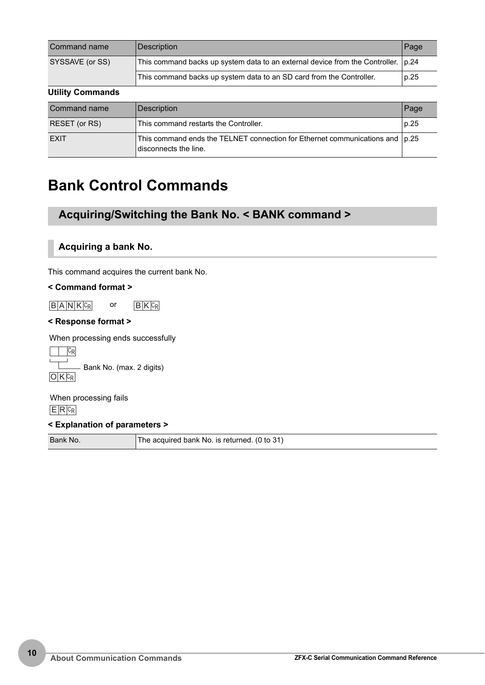| Command name            | <b>Description</b>                                                                   | Page |  |  |
|-------------------------|--------------------------------------------------------------------------------------|------|--|--|
| SYSSAVE (or SS)         | This command backs up system data to an external device from the Controller.<br>p.24 |      |  |  |
|                         | This command backs up system data to an SD card from the Controller.<br>p.25         |      |  |  |
| <b>Utility Commands</b> |                                                                                      |      |  |  |
| Command name            | <b>Description</b>                                                                   | Page |  |  |
| RESET (or RS)           | This command restarts the Controller                                                 | n 25 |  |  |

| RESET (or RS) | This command restarts the Controller.                                                                     | p.25 |
|---------------|-----------------------------------------------------------------------------------------------------------|------|
| <b>EXIT</b>   | This command ends the TELNET connection for Ethernet communications and $ p.25 $<br>disconnects the line. |      |

# <span id="page-10-0"></span>**Bank Control Commands**

### **Acquiring/Switching the Bank No. < BANK command >**

### <span id="page-10-1"></span>**Acquiring a bank No.**

This command acquires the current bank No.

### **< Command format >**

 $\boxed{B|A|N|K|c_R}$  or  $\boxed{B|K|c_R}$ 

### **< Response format >**

When processing ends successfully

 $\Box$   $C_R$  $O$  K  $c_R$ - Bank No. (max. 2 digits)

 $E$  R  $c_R$ When processing fails

### **< Explanation of parameters >**

Bank No. The acquired bank No. is returned. (0 to 31)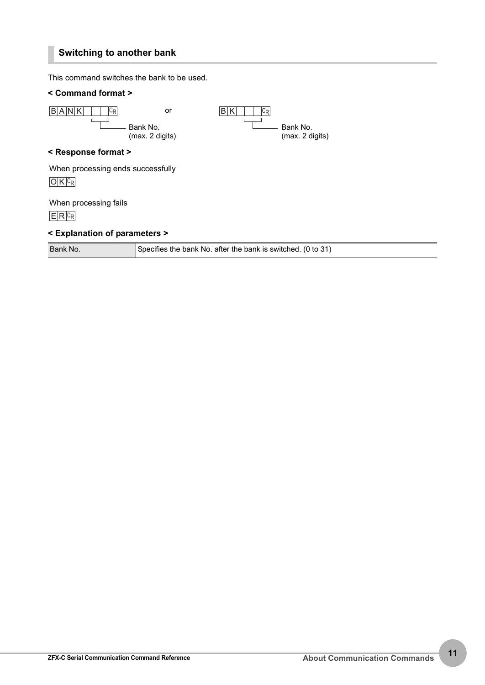### <span id="page-11-0"></span>**Switching to another bank**

This command switches the bank to be used.

### **< Command format >**

| B A N K<br>∪R                       | or<br>Bank No.<br>(max. 2 digits) | $ C_{\mathsf{R}} $<br>в | Bank No.<br>(max. 2 digits) |
|-------------------------------------|-----------------------------------|-------------------------|-----------------------------|
| < Response format >                 |                                   |                         |                             |
| When processing ends successfully   |                                   |                         |                             |
| When processing fails<br>$E[R C_R]$ |                                   |                         |                             |
| < Explanation of parameters >       |                                   |                         |                             |

| Bank No. | Specifies the bank No. after the bank is switched. (0 to 31) |
|----------|--------------------------------------------------------------|
|          |                                                              |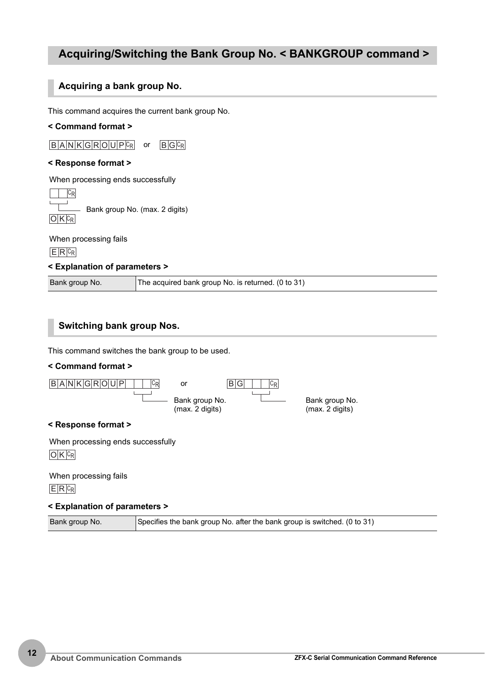### **Acquiring/Switching the Bank Group No. < BANKGROUP command >**

### <span id="page-12-0"></span>**Acquiring a bank group No.**

This command acquires the current bank group No.

### **< Command format >**

B A N K G R O U P CR or B G CR

### **< Response format >**

When processing ends successfully



Bank group No. (max. 2 digits)

When processing fails

 $E$  R  $c_R$ 

### **< Explanation of parameters >**

Bank group No. The acquired bank group No. is returned. (0 to 31)

### <span id="page-12-1"></span>**Switching bank group Nos.**

This command switches the bank group to be used.

### **< Command format >**



 $E$  R  $c_R$ When processing fails

### **< Explanation of parameters >**

Bank group No. Specifies the bank group No. after the bank group is switched. (0 to 31)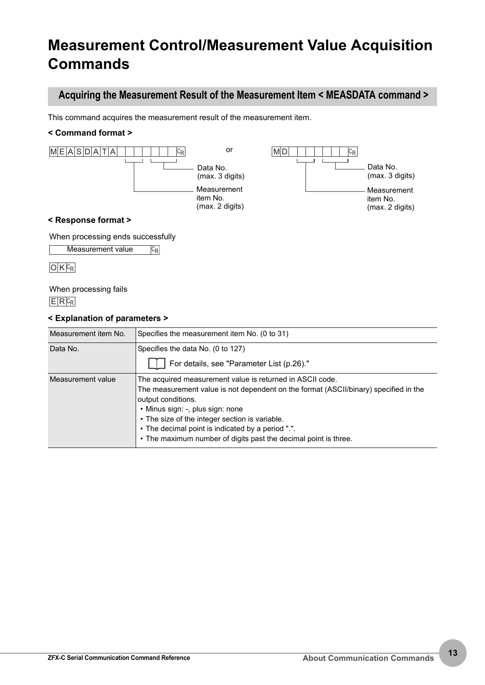# <span id="page-13-0"></span>**Measurement Control/Measurement Value Acquisition Commands**

### <span id="page-13-1"></span>**Acquiring the Measurement Result of the Measurement Item < MEASDATA command >**

This command acquires the measurement result of the measurement item.

### **< Command format >**



When processing ends successfully

C<sub>R</sub>

Measurement value

 $O$  K  $c_R$ 

When processing fails

 $E$  R  $c_R$ 

| Measurement item No. | Specifies the measurement item No. (0 to 31)                                                                                                                                                                                                                                                                                                                                          |
|----------------------|---------------------------------------------------------------------------------------------------------------------------------------------------------------------------------------------------------------------------------------------------------------------------------------------------------------------------------------------------------------------------------------|
| Data No.             | Specifies the data No. (0 to 127)<br>For details, see "Parameter List (p.26)."                                                                                                                                                                                                                                                                                                        |
| Measurement value    | The acquired measurement value is returned in ASCII code.<br>The measurement value is not dependent on the format (ASCII/binary) specified in the<br>output conditions.<br>· Minus sign: -, plus sign: none<br>• The size of the integer section is variable.<br>• The decimal point is indicated by a period ".".<br>• The maximum number of digits past the decimal point is three. |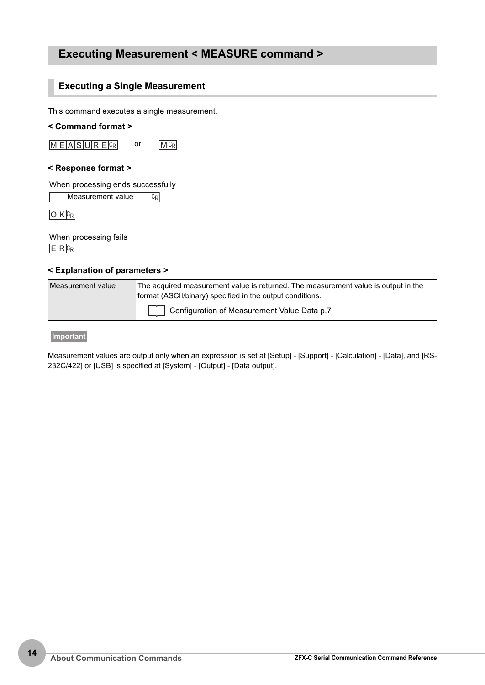### <span id="page-14-0"></span>**Executing Measurement < MEASURE command >**

### **Executing a Single Measurement**

This command executes a single measurement.

### **< Command format >**

 $M E |A| S |U| R |E| c_R$  or  $M |c_R|$ 

### **< Response format >**

When processing ends successfully

 $|C_R|$ Measurement value

 $O$  K  $c_R$ 

 $E$  R  $c_R$ When processing fails

### **< Explanation of parameters >**

| Measurement value | The acquired measurement value is returned. The measurement value is output in the<br>format (ASCII/binary) specified in the output conditions. |  |  |
|-------------------|-------------------------------------------------------------------------------------------------------------------------------------------------|--|--|
|                   | Configuration of Measurement Value Data p.7                                                                                                     |  |  |

**Important**

Measurement values are output only when an expression is set at [Setup] - [Support] - [Calculation] - [Data], and [RS-232C/422] or [USB] is specified at [System] - [Output] - [Data output].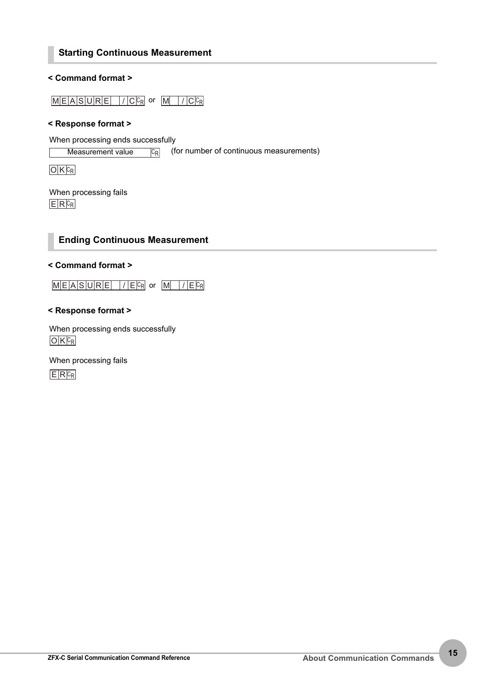### **Starting Continuous Measurement**

### **< Command format >**

 $M E A S U R E$  /  $C c_R$  or  $M$  /  $C c_R$ 

### **< Response format >**

When processing ends successfully

 $|C_R|$ Measurement value  $\sqrt{|C_{R}|}$  (for number of continuous measurements)

 $O$   $K$   $c_R$ 

 $E$  R  $c_R$ When processing fails

### **Ending Continuous Measurement**

### **< Command format >**

 $M \times |A| S |U |R |E$  /  $E$  or  $M$  /  $E$   $c$ <sub>R</sub>

### **< Response format >**

 $O$  K  $c_R$ When processing ends successfully

 $E$  R $c_R$ When processing fails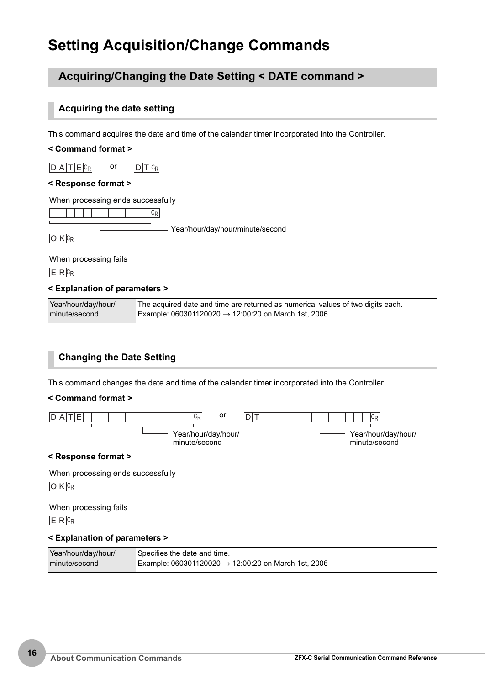# <span id="page-16-0"></span>**Setting Acquisition/Change Commands**

### **Acquiring/Changing the Date Setting < DATE command >**

### <span id="page-16-1"></span>**Acquiring the date setting**

This command acquires the date and time of the calendar timer incorporated into the Controller.

### **< Command format >**

 $D | A | T | E | C_R$  or  $D | T | C_R$ 

### **< Response format >**

When processing ends successfully



 $O$   $K$   $c_R$ 

Year/hour/day/hour/minute/second

When processing fails

 $E$  R  $c_R$ 

### **< Explanation of parameters >**

| Year/hour/day/hour/ | The acquired date and time are returned as numerical values of two digits each. |
|---------------------|---------------------------------------------------------------------------------|
| minute/second       | Example: 060301120020 $\rightarrow$ 12:00:20 on March 1st, 2006.                |

### <span id="page-16-2"></span>**Changing the Date Setting**

This command changes the date and time of the calendar timer incorporated into the Controller.

### **< Command format >**



### **< Response format >**

When processing ends successfully

 $O$  K  $c_R$ 

When processing fails

 $E$  R  $c_R$ 

| Year/hour/day/hour/ | Specifies the date and time.                                    |
|---------------------|-----------------------------------------------------------------|
| minute/second       | Example: 060301120020 $\rightarrow$ 12:00:20 on March 1st, 2006 |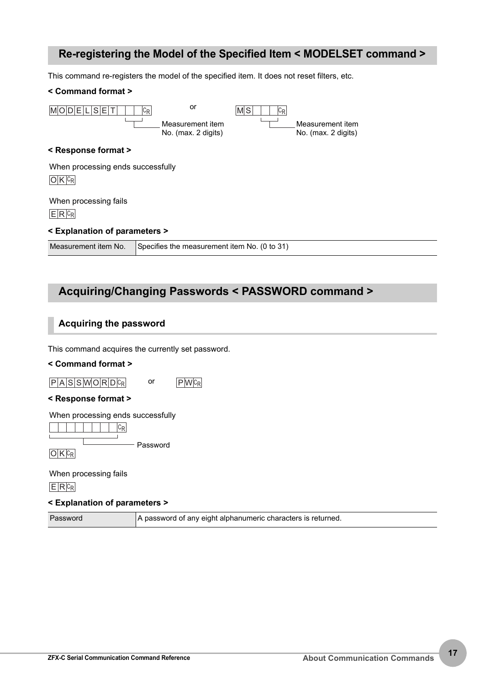### <span id="page-17-0"></span>**Re-registering the Model of the Specified Item < MODELSET command >**

This command re-registers the model of the specified item. It does not reset filters, etc.

### **< Command format >**

| MODELISET                          | or<br>IСR<br>Measurement item<br>No. (max. 2 digits) | $ C_{\mathsf{R}} $<br>IM S | Measurement item<br>No. (max. 2 digits) |
|------------------------------------|------------------------------------------------------|----------------------------|-----------------------------------------|
| < Response format >                |                                                      |                            |                                         |
| When processing ends successfully  |                                                      |                            |                                         |
| When processing fails<br>$E R C_R$ |                                                      |                            |                                         |
| < Explanation of parameters >      |                                                      |                            |                                         |
| Measurement item No.               | Specifies the measurement item No. (0 to 31)         |                            |                                         |

# **Acquiring/Changing Passwords < PASSWORD command >**

### **Acquiring the password**

This command acquires the currently set password.

### **< Command format >**

 $P |A| S |S| W |O |R |D |C_R$  or  $P |W|C_R$ 

### **< Response format >**

When processing ends successfully

 $\overline{\phantom{a}}$  $\overline{\phantom{a}}$  $\overline{\phantom{a}}$  $\overline{\phantom{a}}$  $\overline{\phantom{a}}$  $\overline{\phantom{a}}$ 

 $O$  K  $c_R$ Password

 $E$  R $c_R$ When processing fails

### **< Explanation of parameters >**

Password **A** password of any eight alphanumeric characters is returned.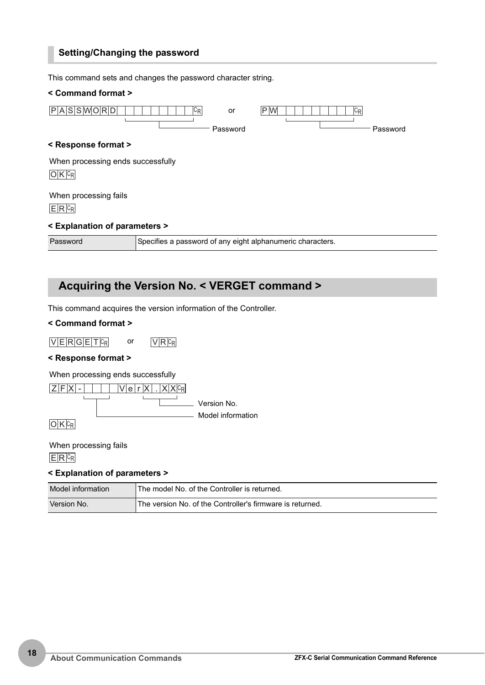### **Setting/Changing the password**

This command sets and changes the password character string. **< Command format > < Response format > < Explanation of parameters >** P A S S W ORD CR P W CR Password or Password  $O$  K  $c_R$  $E$  R  $c_R$ When processing ends successfully When processing fails

Password Specifies a password of any eight alphanumeric characters.

### <span id="page-18-0"></span>**Acquiring the Version No. < VERGET command >**

This command acquires the version information of the Controller.

### **< Command format >**

 $VERGETER$  or  $VRRc_R$ 

### **< Response format >**

When processing ends successfully

 $Z$ FX -  $\Box$  Verx  $\Box$ Version No. Model information

 $O$  K  $c_R$ 

 $E$  R  $c_R$ When processing fails

| Model information | The model No. of the Controller is returned.              |
|-------------------|-----------------------------------------------------------|
| Version No.       | The version No. of the Controller's firmware is returned. |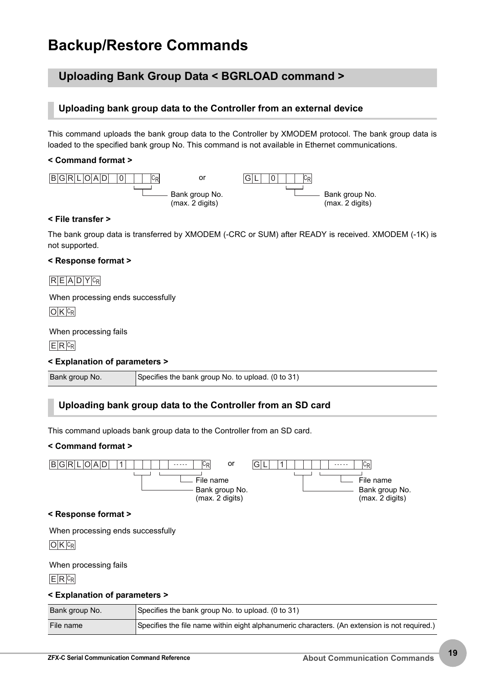# <span id="page-19-0"></span>**Backup/Restore Commands**

### **Uploading Bank Group Data < BGRLOAD command >**

### <span id="page-19-1"></span>**Uploading bank group data to the Controller from an external device**

This command uploads the bank group data to the Controller by XMODEM protocol. The bank group data is loaded to the specified bank group No. This command is not available in Ethernet communications.

### **< Command format >**



### **< File transfer >**

The bank group data is transferred by XMODEM (-CRC or SUM) after READY is received. XMODEM (-1K) is not supported.

### **< Response format >**

### $R E |A| D |Y| C_R$

When processing ends successfully

 $O$  K  $C_R$ 

When processing fails

 $E$  R  $c_R$ 

### **< Explanation of parameters >**

| Bank group No. | Specifies the bank group No. to upload. (0 to 31) |
|----------------|---------------------------------------------------|
|----------------|---------------------------------------------------|

### <span id="page-19-2"></span>**Uploading bank group data to the Controller from an SD card**

This command uploads bank group data to the Controller from an SD card.

### **< Command format >**



| Bank group No. | Specifies the bank group No. to upload. (0 to 31)                                             |
|----------------|-----------------------------------------------------------------------------------------------|
| File name      | Specifies the file name within eight alphanumeric characters. (An extension is not required.) |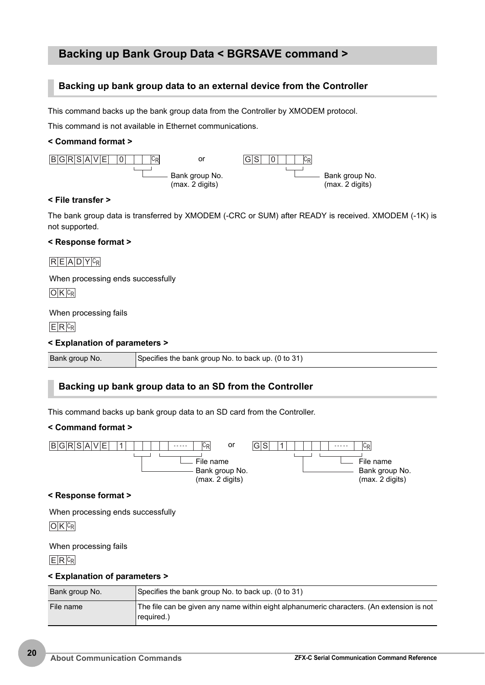### **Backing up Bank Group Data < BGRSAVE command >**

### <span id="page-20-0"></span>**Backing up bank group data to an external device from the Controller**

This command backs up the bank group data from the Controller by XMODEM protocol.

This command is not available in Ethernet communications.

### **< Command format >**



### **< File transfer >**

The bank group data is transferred by XMODEM (-CRC or SUM) after READY is received. XMODEM (-1K) is not supported.

### **< Response format >**

 $R E A D Y C_R$ 

When processing ends successfully

 $O$  K  $c_R$ 

### When processing fails

 $E$  R  $c_R$ 

### **< Explanation of parameters >**

| Bank group No. | Specifies the bank group No. to back up. (0 to 31) |
|----------------|----------------------------------------------------|
|                |                                                    |

### <span id="page-20-1"></span>**Backing up bank group data to an SD from the Controller**

This command backs up bank group data to an SD card from the Controller.

### **< Command format >**



### **< Response format >**

When processing ends successfully

 $O$  K  $c_R$ 

### When processing fails

 $E$  R  $c_R$ 

| Bank group No. | Specifies the bank group No. to back up. (0 to 31)                                                      |
|----------------|---------------------------------------------------------------------------------------------------------|
| File name      | The file can be given any name within eight alphanumeric characters. (An extension is not<br>required.) |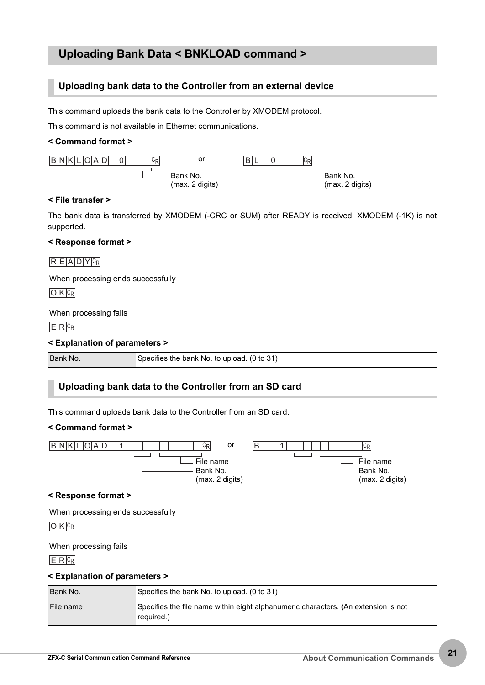### **Uploading Bank Data < BNKLOAD command >**

### <span id="page-21-0"></span>**Uploading bank data to the Controller from an external device**

This command uploads the bank data to the Controller by XMODEM protocol.

This command is not available in Ethernet communications.

### **< Command format >**



### **< File transfer >**

The bank data is transferred by XMODEM (-CRC or SUM) after READY is received. XMODEM (-1K) is not supported.

### **< Response format >**

### $R E A D Y C_R$

When processing ends successfully

 $O$  K  $c_R$ 

### When processing fails

 $E$  R  $c_R$ 

### **< Explanation of parameters >**

| Bank No. | Specifies the bank No. to upload. (0 to 31) |
|----------|---------------------------------------------|

### <span id="page-21-1"></span>**Uploading bank data to the Controller from an SD card**

This command uploads bank data to the Controller from an SD card.

### **< Command format >**



When processing ends successfully

 $O$  K  $c_R$ 

### When processing fails

 $E$  R  $c_R$ 

| Bank No.  | Specifies the bank No. to upload. (0 to 31)                                                      |
|-----------|--------------------------------------------------------------------------------------------------|
| File name | Specifies the file name within eight alphanumeric characters. (An extension is not<br>required.) |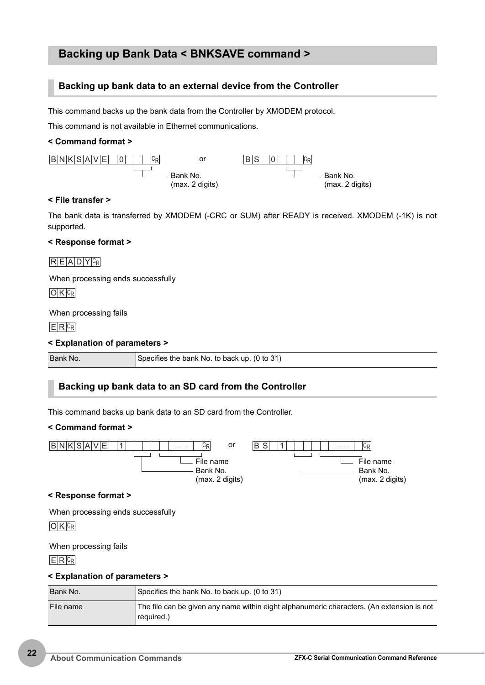### **Backing up Bank Data < BNKSAVE command >**

### <span id="page-22-0"></span>**Backing up bank data to an external device from the Controller**

This command backs up the bank data from the Controller by XMODEM protocol.

This command is not available in Ethernet communications.

### **< Command format >**



### **< File transfer >**

The bank data is transferred by XMODEM (-CRC or SUM) after READY is received. XMODEM (-1K) is not supported.

### **< Response format >**

### $R E A D Y C_R$

When processing ends successfully

 $O$  K  $c_R$ 

### When processing fails

 $E$  R  $c_R$ 

### **< Explanation of parameters >**

| Bank No. | Specifies the bank No. to back up. (0 to 31) |
|----------|----------------------------------------------|

### <span id="page-22-1"></span>**Backing up bank data to an SD card from the Controller**

This command backs up bank data to an SD card from the Controller.

### **< Command format >**



When processing ends successfully

 $O$  K  $c_R$ 

### When processing fails

 $E$  R  $c_R$ 

| Bank No.  | Specifies the bank No. to back up. (0 to 31)                                                            |
|-----------|---------------------------------------------------------------------------------------------------------|
| File name | The file can be given any name within eight alphanumeric characters. (An extension is not<br>required.) |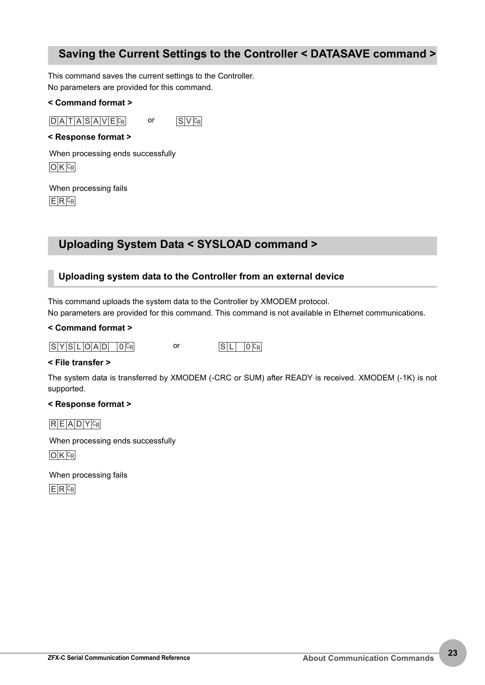### <span id="page-23-0"></span>**Saving the Current Settings to the Controller < DATASAVE command >**

This command saves the current settings to the Controller. No parameters are provided for this command.

### **< Command format >**

 $D |A| T |A| S |A| V |E| c_R$  or  $S |V| c_R$ 

### **< Response format >**

 $O$  K  $c_R$ When processing ends successfully

 $E$  R  $c_R$ When processing fails

### **Uploading System Data < SYSLOAD command >**

### <span id="page-23-1"></span>**Uploading system data to the Controller from an external device**

This command uploads the system data to the Controller by XMODEM protocol. No parameters are provided for this command. This command is not available in Ethernet communications.

### **< Command format >**

### $S[Y|S|L|O|A|D|]O|C_R$  or  $S|L|O|C_R$

### **< File transfer >**

The system data is transferred by XMODEM (-CRC or SUM) after READY is received. XMODEM (-1K) is not supported.

### **< Response format >**

 $R E |A| D |Y| C_R$ 

 $O$  K  $c_R$ When processing ends successfully

 $E$  R  $c_R$ When processing fails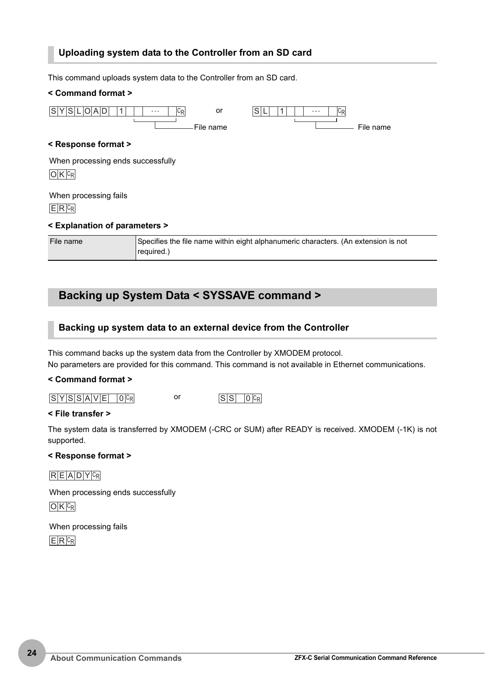### <span id="page-24-0"></span>**Uploading system data to the Controller from an SD card**

This command uploads system data to the Controller from an SD card. **< Command format > < Response format > < Explanation of parameters >**  $S[Y|S|L|O|A|D| |1| | \cdots |C_R$  or  $S|L| |1|$ File name or File name  $O$  K  $c_R$  $E$  R  $c_R$ When processing ends successfully When processing fails

| File name | Specifies the file name within eight alphanumeric characters. (An extension is not |
|-----------|------------------------------------------------------------------------------------|
|           | required.)                                                                         |

### **Backing up System Data < SYSSAVE command >**

### <span id="page-24-1"></span>**Backing up system data to an external device from the Controller**

This command backs up the system data from the Controller by XMODEM protocol. No parameters are provided for this command. This command is not available in Ethernet communications.

### **< Command format >**

 $S|Y|S|S|A|V|E|O|C_R$  or  $S|S|O|C_R$ 

### **< File transfer >**

The system data is transferred by XMODEM (-CRC or SUM) after READY is received. XMODEM (-1K) is not supported.

### **< Response format >**

### $R E |A| D |Y| C_R$

When processing ends successfully

 $O$  K  $c_R$ 

When processing fails

 $E$  R  $c_R$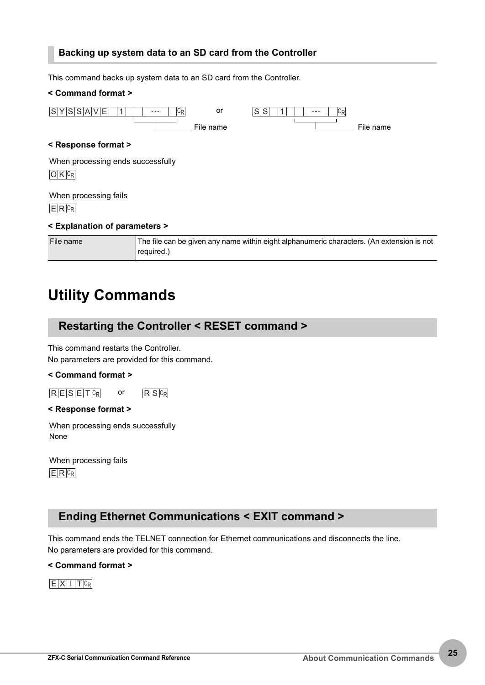### <span id="page-25-1"></span>**Backing up system data to an SD card from the Controller**

This command backs up system data to an SD card from the Controller.

| < Command format >                              |                                                                                           |  |           |         |           |
|-------------------------------------------------|-------------------------------------------------------------------------------------------|--|-----------|---------|-----------|
| ' S S A <br><b>VE</b><br>SI<br>1                | C <sub>R</sub><br>or<br>File name                                                         |  | lsl<br>ls | $C_{R}$ | File name |
| < Response format >                             |                                                                                           |  |           |         |           |
| When processing ends successfully<br>$O K C_R $ |                                                                                           |  |           |         |           |
| When processing fails<br>$E R C_R$              |                                                                                           |  |           |         |           |
| < Explanation of parameters >                   |                                                                                           |  |           |         |           |
| File name                                       | The file can be given any name within eight alphanumeric characters. (An extension is not |  |           |         |           |

# <span id="page-25-0"></span>**Utility Commands**

### <span id="page-25-2"></span>**Restarting the Controller < RESET command >**

required.)

This command restarts the Controller. No parameters are provided for this command.

### **< Command format >**

 $R$  E S E T  $c_R$  or  $R$  S  $c_R$ 

### **< Response format >**

When processing ends successfully None

 $E$  R  $c_R$ When processing fails

### <span id="page-25-3"></span>**Ending Ethernet Communications < EXIT command >**

This command ends the TELNET connection for Ethernet communications and disconnects the line. No parameters are provided for this command.

**< Command format >**

 $E[X|1]$ T $c_R$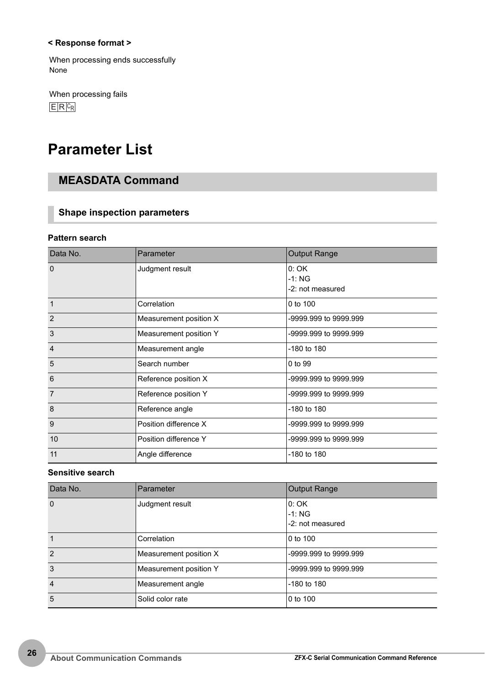### **< Response format >**

When processing ends successfully None

 $E$  R  $c_R$ When processing fails

# <span id="page-26-0"></span>**Parameter List**

### **MEASDATA Command**

### **Shape inspection parameters**

### <span id="page-26-1"></span>**Pattern search**

| Data No.       | Parameter              | <b>Output Range</b>                  |
|----------------|------------------------|--------------------------------------|
| $\Omega$       | Judgment result        | 0:OK<br>$-1: NG$<br>-2: not measured |
| $\overline{1}$ | Correlation            | 0 to 100                             |
| $\overline{2}$ | Measurement position X | -9999.999 to 9999.999                |
| $\mathbf{3}$   | Measurement position Y | -9999.999 to 9999.999                |
| $\overline{4}$ | Measurement angle      | -180 to 180                          |
| 5              | Search number          | 0 to 99                              |
| 6              | Reference position X   | -9999.999 to 9999.999                |
| $\overline{7}$ | Reference position Y   | -9999.999 to 9999.999                |
| 8              | Reference angle        | $-180$ to $180$                      |
| 9              | Position difference X  | -9999.999 to 9999.999                |
| 10             | Position difference Y  | -9999.999 to 9999.999                |
| 11             | Angle difference       | -180 to 180                          |

### **Sensitive search**

| Data No.       | Parameter              | <b>Output Range</b>                  |
|----------------|------------------------|--------------------------------------|
| $\Omega$       | Judgment result        | 0: OK<br>$-1:NG$<br>-2: not measured |
|                | Correlation            | 0 to 100                             |
| $\mathcal{P}$  | Measurement position X | -9999.999 to 9999.999                |
| 3              | Measurement position Y | -9999.999 to 9999.999                |
| $\overline{4}$ | Measurement angle      | $-180$ to $180$                      |
| 5              | Solid color rate       | 0 to 100                             |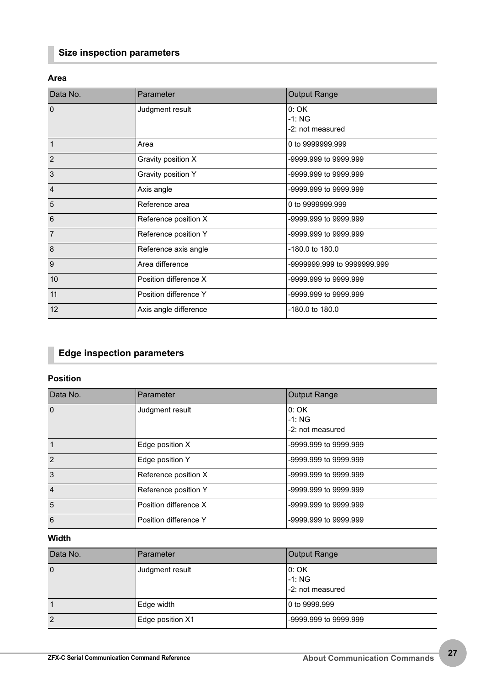### **Size inspection parameters**

### <span id="page-27-0"></span>**Area**

| Data No.       | Parameter             | <b>Output Range</b>                  |
|----------------|-----------------------|--------------------------------------|
| $\Omega$       | Judgment result       | 0:OK<br>$-1:NG$<br>$-2$ not measured |
| $\mathbf{1}$   | Area                  | 0 to 9999999.999                     |
| $\overline{2}$ | Gravity position X    | -9999.999 to 9999.999                |
| 3              | Gravity position Y    | -9999.999 to 9999.999                |
| $\overline{4}$ | Axis angle            | -9999.999 to 9999.999                |
| 5              | Reference area        | 0 to 9999999.999                     |
| 6              | Reference position X  | -9999.999 to 9999.999                |
| $\overline{7}$ | Reference position Y  | -9999.999 to 9999.999                |
| 8              | Reference axis angle  | -180.0 to 180.0                      |
| 9              | Area difference       | -9999999.999 to 9999999.999          |
| 10             | Position difference X | -9999.999 to 9999.999                |
| 11             | Position difference Y | -9999.999 to 9999.999                |
| 12             | Axis angle difference | -180.0 to 180.0                      |

### **Edge inspection parameters**

### <span id="page-27-1"></span>**Position**

| Data No.       | Parameter             | <b>Output Range</b>                  |
|----------------|-----------------------|--------------------------------------|
| $\Omega$       | Judgment result       | 0:OK<br>$-1: NG$<br>-2: not measured |
| $\mathbf{1}$   | Edge position X       | -9999.999 to 9999.999                |
| $\mathcal{P}$  | Edge position Y       | -9999.999 to 9999.999                |
| 3              | Reference position X  | -9999.999 to 9999.999                |
| $\overline{4}$ | Reference position Y  | -9999.999 to 9999.999                |
| 5              | Position difference X | -9999.999 to 9999.999                |
| 6              | Position difference Y | -9999.999 to 9999.999                |

### **Width**

| Data No.       | Parameter        | Output Range                        |
|----------------|------------------|-------------------------------------|
| $\mathbf 0$    | Judgment result  | 0:OK<br>$-1:NG$<br>-2: not measured |
|                | Edge width       | 0 to 9999.999                       |
| $\overline{2}$ | Edge position X1 | -9999.999 to 9999.999               |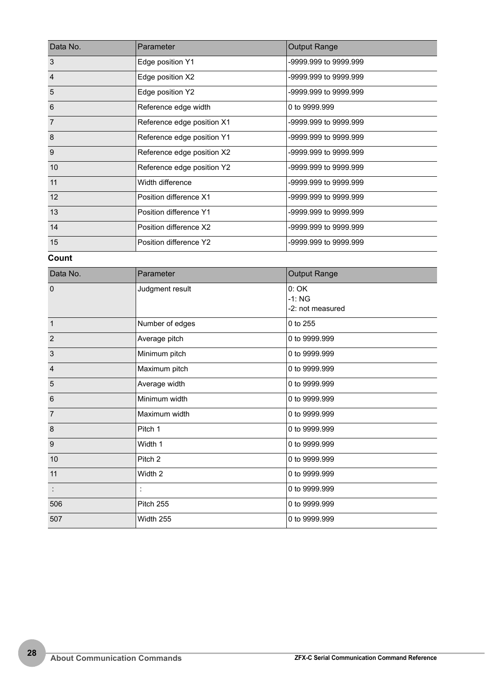| Data No.                           | Parameter                  | <b>Output Range</b>   |
|------------------------------------|----------------------------|-----------------------|
| 3                                  | Edge position Y1           | -9999.999 to 9999.999 |
| $\overline{4}$<br>Edge position X2 |                            | -9999.999 to 9999.999 |
| 5                                  | Edge position Y2           | -9999.999 to 9999.999 |
| 6                                  | Reference edge width       | 0 to 9999.999         |
| $\overline{7}$                     | Reference edge position X1 | -9999.999 to 9999.999 |
| 8                                  | Reference edge position Y1 | -9999.999 to 9999.999 |
| 9                                  | Reference edge position X2 | -9999.999 to 9999.999 |
| 10                                 | Reference edge position Y2 | -9999.999 to 9999.999 |
| 11                                 | Width difference           | -9999.999 to 9999.999 |
| 12                                 | Position difference X1     | -9999.999 to 9999.999 |
| 13                                 | Position difference Y1     | -9999.999 to 9999.999 |
| 14                                 | Position difference X2     | -9999.999 to 9999.999 |
| 15                                 | Position difference Y2     | -9999.999 to 9999.999 |

**Count**

| Data No.             | Parameter          | Output Range                        |
|----------------------|--------------------|-------------------------------------|
| $\Omega$             | Judgment result    | 0:OK<br>$-1:NG$<br>-2: not measured |
| $\overline{1}$       | Number of edges    | 0 to 255                            |
| $\overline{2}$       | Average pitch      | 0 to 9999.999                       |
| 3                    | Minimum pitch      | 0 to 9999.999                       |
| $\overline{4}$       | Maximum pitch      | 0 to 9999.999                       |
| 5                    | Average width      | 0 to 9999.999                       |
| 6                    | Minimum width      | 0 to 9999.999                       |
| $\overline{7}$       | Maximum width      | 0 to 9999.999                       |
| 8                    | Pitch 1            | 0 to 9999.999                       |
| 9                    | Width 1            | 0 to 9999.999                       |
| 10                   | Pitch <sub>2</sub> | 0 to 9999.999                       |
| 11                   | Width 2            | 0 to 9999.999                       |
| $\ddot{\phantom{a}}$ |                    | 0 to 9999.999                       |
| 506                  | Pitch 255          | 0 to 9999.999                       |
| 507                  | Width 255          | 0 to 9999.999                       |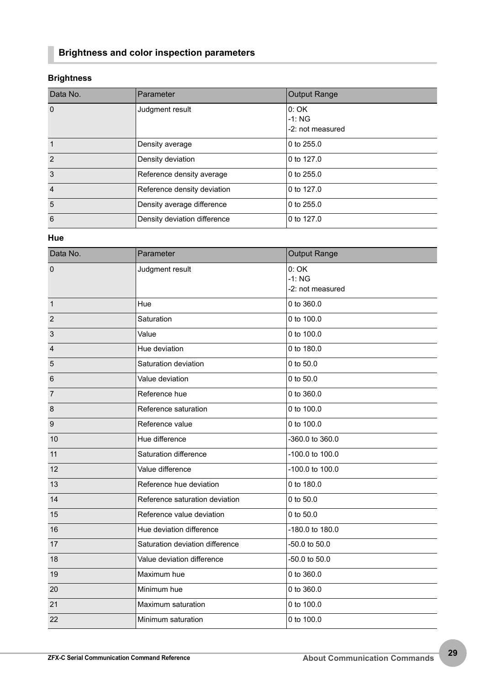### **Brightness and color inspection parameters**

### **Brightness**

| Data No.       | Parameter                    | <b>Output Range</b>                 |
|----------------|------------------------------|-------------------------------------|
| $\Omega$       | Judgment result              | 0:OK<br>$-1:NG$<br>-2: not measured |
| 1              | Density average              | 0 to 255.0                          |
| $\mathcal{P}$  | Density deviation            | 0 to 127.0                          |
| 3              | Reference density average    | 0 to $255.0$                        |
| $\overline{4}$ | Reference density deviation  | 0 to 127.0                          |
| 5              | Density average difference   | 0 to 255.0                          |
| 6              | Density deviation difference | 0 to 127.0                          |

### **Hue**

| Data No.                               | Parameter                                   | <b>Output Range</b>                 |  |
|----------------------------------------|---------------------------------------------|-------------------------------------|--|
| Judgment result<br>$\mathbf 0$         |                                             | 0:OK<br>$-1:NG$<br>-2: not measured |  |
| $\overline{1}$                         | Hue                                         | 0 to 360.0                          |  |
| $\overline{2}$                         | Saturation                                  | 0 to 100.0                          |  |
| $\mathbf{3}$                           | Value                                       | 0 to 100.0                          |  |
| $\overline{4}$                         | Hue deviation                               | 0 to 180.0                          |  |
| 5                                      | Saturation deviation                        | 0 to 50.0                           |  |
| $6\phantom{1}6$                        | Value deviation                             | 0 to 50.0                           |  |
| $\overline{7}$                         | Reference hue                               | 0 to 360.0                          |  |
| 8                                      | Reference saturation                        | 0 to 100.0                          |  |
| 9                                      | Reference value                             | 0 to 100.0                          |  |
| Hue difference<br>10                   |                                             | -360.0 to 360.0                     |  |
| Saturation difference<br>11            |                                             | -100.0 to 100.0                     |  |
| 12                                     | Value difference                            | -100.0 to 100.0                     |  |
| 13                                     | Reference hue deviation                     | 0 to 180.0                          |  |
| 14                                     | Reference saturation deviation              | 0 to 50.0                           |  |
| 15                                     | Reference value deviation                   | 0 to 50.0                           |  |
| 16                                     | Hue deviation difference                    | -180.0 to 180.0                     |  |
| 17                                     | Saturation deviation difference             | -50.0 to 50.0                       |  |
| 18                                     | Value deviation difference<br>-50.0 to 50.0 |                                     |  |
| 19                                     | Maximum hue                                 | 0 to 360.0                          |  |
| 20                                     | Minimum hue                                 | 0 to 360.0                          |  |
| 21                                     | Maximum saturation                          | 0 to 100.0                          |  |
| 22<br>0 to 100.0<br>Minimum saturation |                                             |                                     |  |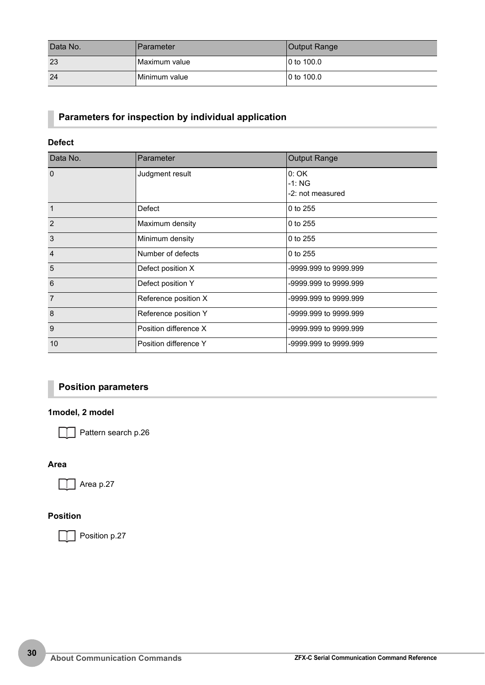| Data No. | <b>Parameter</b> | Output Range |
|----------|------------------|--------------|
| 23       | Maximum value    | 0 to 100.0   |
| 24       | Minimum value    | 0 to 100.0   |

### **Parameters for inspection by individual application**

### **Defect**

| Data No.       | Parameter             | <b>Output Range</b>                 |
|----------------|-----------------------|-------------------------------------|
| $\Omega$       | Judgment result       | 0:OK<br>$-1:NG$<br>-2: not measured |
| $\overline{1}$ | Defect                | 0 to 255                            |
| $\overline{2}$ | Maximum density       | 0 to 255                            |
| 3              | Minimum density       | 0 to 255                            |
| $\overline{4}$ | Number of defects     | 0 to 255                            |
| 5              | Defect position X     | -9999.999 to 9999.999               |
| 6              | Defect position Y     | -9999.999 to 9999.999               |
| $\overline{7}$ | Reference position X  | -9999.999 to 9999.999               |
| 8              | Reference position Y  | -9999.999 to 9999.999               |
| 9              | Position difference X | -9999.999 to 9999.999               |
| 10             | Position difference Y | -9999.999 to 9999.999               |

### **Position parameters**

### **1model, 2 model**

Pattern search [p.26](#page-26-1)

### **Area**

Area [p.27](#page-27-0)

### **Position**

Position [p.27](#page-27-1)  $\Box$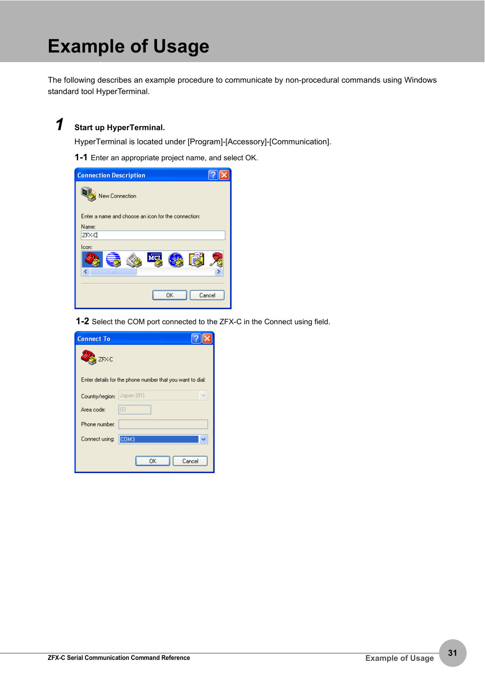# <span id="page-31-0"></span>**Example of Usage**

The following describes an example procedure to communicate by non-procedural commands using Windows standard tool HyperTerminal.

# *1* **Start up HyperTerminal.**

HyperTerminal is located under [Program]-[Accessory]-[Communication].

**1-1** Enter an appropriate project name, and select OK.

| <b>Connection Description</b>                       |
|-----------------------------------------------------|
| New Connection                                      |
| Enter a name and choose an icon for the connection: |
| Name:                                               |
| ZFX-D                                               |
| Icon:                                               |
| $\mathbf{m}$                                        |
| OK<br>Cancel                                        |

**1-2** Select the COM port connected to the ZFX-C in the Connect using field.

| <b>Connect To</b> |                                                           |
|-------------------|-----------------------------------------------------------|
| ZFX-C             |                                                           |
|                   | Enter details for the phone number that you want to dial: |
| Country/region:   | Japan [81]                                                |
| Area code:        | 03                                                        |
| Phone number:     |                                                           |
| Connect using:    | COM <sub>3</sub>                                          |
|                   | OΚ<br>Cancel                                              |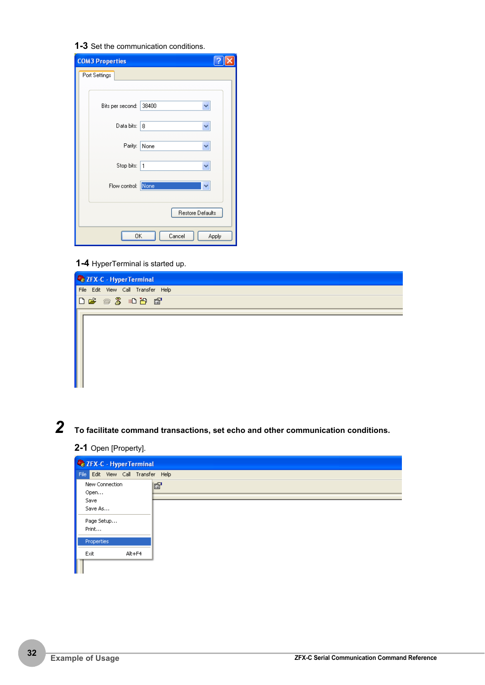**1-3** Set the communication conditions.

| <b>COM3 Properties</b> |                       |
|------------------------|-----------------------|
| Port Settings          |                       |
|                        |                       |
| Bits per second:       | 38400<br>$\checkmark$ |
| Data bits:             | 8<br>v                |
| Parity:                | None<br>v             |
| Stop bits:             | $\mathbf{1}$<br>Ÿ     |
| Flow control: None     | ÿ                     |
|                        | Restore Defaults      |
| 0K                     | Cancel<br>Apply       |

**1-4** HyperTerminal is started up.



*2* **To facilitate command transactions, set echo and other communication conditions.** 

**2-1** Open [Property].

| 2 ZFX-C - HyperTerminal           |   |  |  |  |
|-----------------------------------|---|--|--|--|
| File Edit View Call Transfer Help |   |  |  |  |
| New Connection<br>Open            | f |  |  |  |
| Save                              |   |  |  |  |
| Save As                           |   |  |  |  |
| Page Setup                        |   |  |  |  |
| Print                             |   |  |  |  |
| Properties                        |   |  |  |  |
| Exit<br>Alt+F4                    |   |  |  |  |
|                                   |   |  |  |  |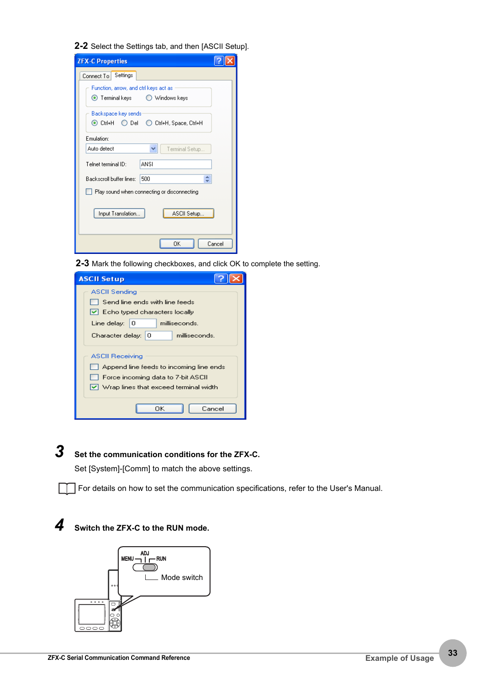**2-2** Select the Settings tab, and then [ASCII Setup].

| <b>ZFX-C Properties</b>                                                   |        |  |
|---------------------------------------------------------------------------|--------|--|
| Settings<br>Connect To                                                    |        |  |
| Function, arrow, and otrl keys act as<br>● Terminal keys   ○ Windows keys |        |  |
| Backspace key sends                                                       |        |  |
| Emulation:                                                                |        |  |
| Auto detect<br>Terminal Setup                                             |        |  |
| Telnet terminal ID:<br><b>ANSI</b>                                        |        |  |
| Backscroll buffer lines:<br>500                                           |        |  |
| Play sound when connecting or disconnecting                               |        |  |
| Input Translation<br>ASCII Setup                                          |        |  |
| OΚ                                                                        | Cancel |  |

**2-3** Mark the following checkboxes, and click OK to complete the setting.

| <b>ASCII Setup</b>                                                                                                                                 |  |  |
|----------------------------------------------------------------------------------------------------------------------------------------------------|--|--|
| ASCII Sendina                                                                                                                                      |  |  |
| Send line ends with line feeds                                                                                                                     |  |  |
| $ \mathbf{v} $ Echo typed characters locally                                                                                                       |  |  |
| Line delay: $ 0\rangle$<br>milliseconds.                                                                                                           |  |  |
| Character delay: 0<br>milliseconds.                                                                                                                |  |  |
| <b>ASCII Receiving</b><br>Append line feeds to incoming line ends<br>Force incoming data to 7-bit ASCII<br>V Wrap lines that exceed terminal width |  |  |
| OΚ<br>Cancel                                                                                                                                       |  |  |

# *3* **Set the communication conditions for the ZFX-C.**

Set [System]-[Comm] to match the above settings.

For details on how to set the communication specifications, refer to the User's Manual.

### *4* **Switch the ZFX-C to the RUN mode.**

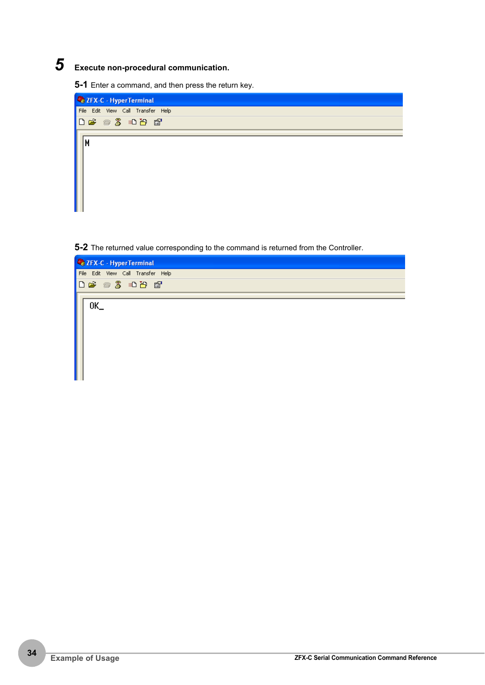# *5* **Execute non-procedural communication.**

**5-1** Enter a command, and then press the return key.



**5-2** The returned value corresponding to the command is returned from the Controller.

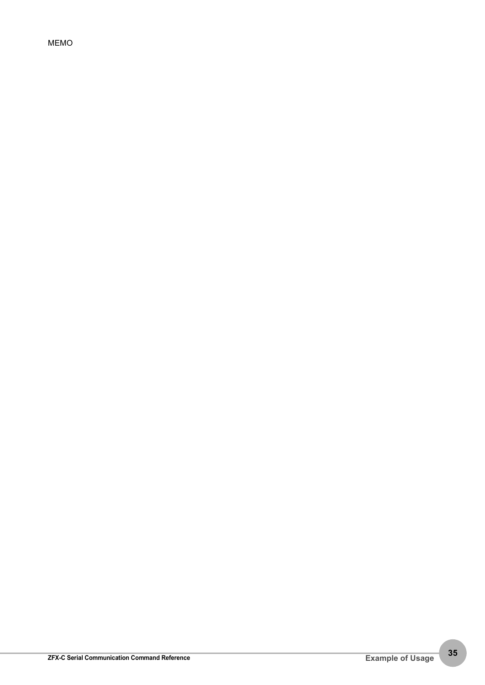MEMO